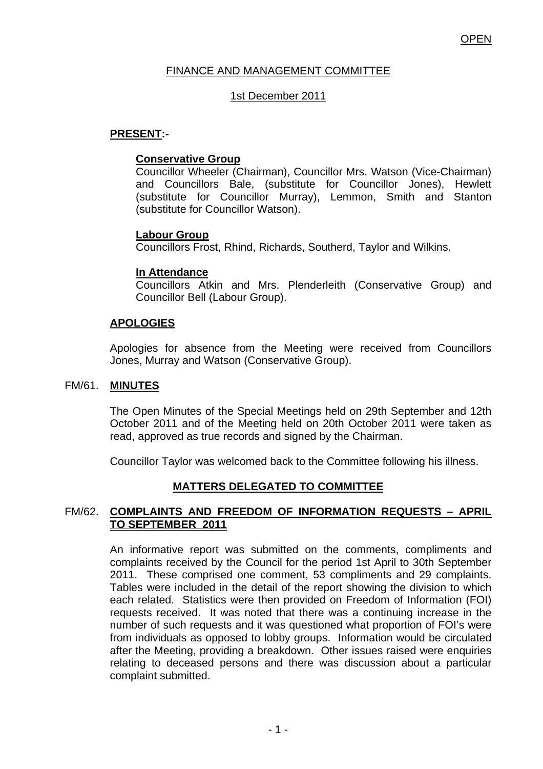# FINANCE AND MANAGEMENT COMMITTEE

# 1st December 2011

# **PRESENT:-**

## **Conservative Group**

Councillor Wheeler (Chairman), Councillor Mrs. Watson (Vice-Chairman) and Councillors Bale, (substitute for Councillor Jones), Hewlett (substitute for Councillor Murray), Lemmon, Smith and Stanton (substitute for Councillor Watson).

## **Labour Group**

Councillors Frost, Rhind, Richards, Southerd, Taylor and Wilkins.

## **In Attendance**

Councillors Atkin and Mrs. Plenderleith (Conservative Group) and Councillor Bell (Labour Group).

# **APOLOGIES**

Apologies for absence from the Meeting were received from Councillors Jones, Murray and Watson (Conservative Group).

### FM/61. **MINUTES**

The Open Minutes of the Special Meetings held on 29th September and 12th October 2011 and of the Meeting held on 20th October 2011 were taken as read, approved as true records and signed by the Chairman.

Councillor Taylor was welcomed back to the Committee following his illness.

# **MATTERS DELEGATED TO COMMITTEE**

## FM/62. **COMPLAINTS AND FREEDOM OF INFORMATION REQUESTS – APRIL TO SEPTEMBER 2011**

An informative report was submitted on the comments, compliments and complaints received by the Council for the period 1st April to 30th September 2011. These comprised one comment, 53 compliments and 29 complaints. Tables were included in the detail of the report showing the division to which each related. Statistics were then provided on Freedom of Information (FOI) requests received. It was noted that there was a continuing increase in the number of such requests and it was questioned what proportion of FOI's were from individuals as opposed to lobby groups. Information would be circulated after the Meeting, providing a breakdown. Other issues raised were enquiries relating to deceased persons and there was discussion about a particular complaint submitted.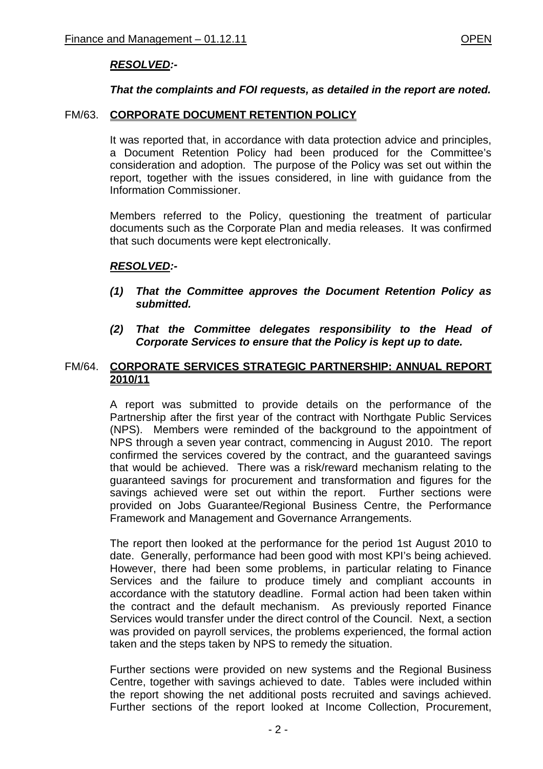# *RESOLVED:-*

### *That the complaints and FOI requests, as detailed in the report are noted.*

### FM/63. **CORPORATE DOCUMENT RETENTION POLICY**

 It was reported that, in accordance with data protection advice and principles, a Document Retention Policy had been produced for the Committee's consideration and adoption. The purpose of the Policy was set out within the report, together with the issues considered, in line with guidance from the Information Commissioner.

Members referred to the Policy, questioning the treatment of particular documents such as the Corporate Plan and media releases. It was confirmed that such documents were kept electronically.

### *RESOLVED:-*

- *(1) That the Committee approves the Document Retention Policy as submitted.*
- *(2) That the Committee delegates responsibility to the Head of Corporate Services to ensure that the Policy is kept up to date.*

## FM/64. **CORPORATE SERVICES STRATEGIC PARTNERSHIP: ANNUAL REPORT 2010/11**

A report was submitted to provide details on the performance of the Partnership after the first year of the contract with Northgate Public Services (NPS). Members were reminded of the background to the appointment of NPS through a seven year contract, commencing in August 2010. The report confirmed the services covered by the contract, and the guaranteed savings that would be achieved. There was a risk/reward mechanism relating to the guaranteed savings for procurement and transformation and figures for the savings achieved were set out within the report. Further sections were provided on Jobs Guarantee/Regional Business Centre, the Performance Framework and Management and Governance Arrangements.

The report then looked at the performance for the period 1st August 2010 to date. Generally, performance had been good with most KPI's being achieved. However, there had been some problems, in particular relating to Finance Services and the failure to produce timely and compliant accounts in accordance with the statutory deadline. Formal action had been taken within the contract and the default mechanism. As previously reported Finance Services would transfer under the direct control of the Council. Next, a section was provided on payroll services, the problems experienced, the formal action taken and the steps taken by NPS to remedy the situation.

Further sections were provided on new systems and the Regional Business Centre, together with savings achieved to date. Tables were included within the report showing the net additional posts recruited and savings achieved. Further sections of the report looked at Income Collection, Procurement,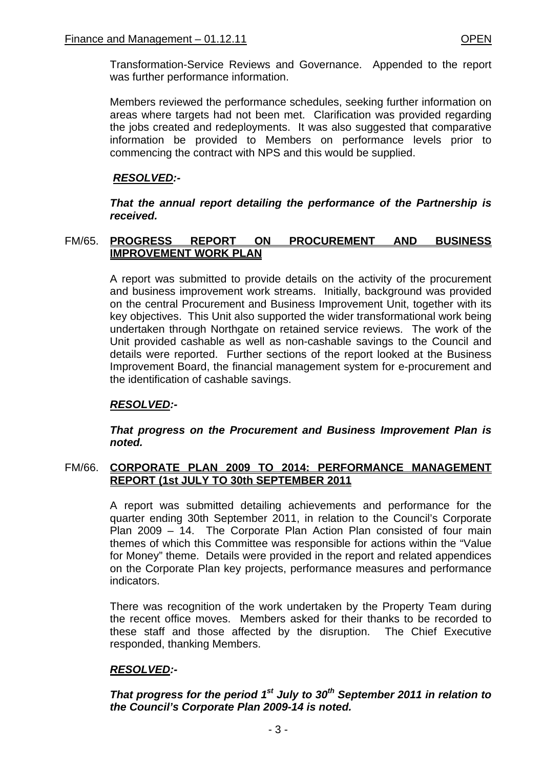Transformation-Service Reviews and Governance. Appended to the report was further performance information.

Members reviewed the performance schedules, seeking further information on areas where targets had not been met. Clarification was provided regarding the jobs created and redeployments. It was also suggested that comparative information be provided to Members on performance levels prior to commencing the contract with NPS and this would be supplied.

# *RESOLVED:-*

*That the annual report detailing the performance of the Partnership is received.* 

# FM/65. **PROGRESS REPORT ON PROCUREMENT AND BUSINESS IMPROVEMENT WORK PLAN**

A report was submitted to provide details on the activity of the procurement and business improvement work streams. Initially, background was provided on the central Procurement and Business Improvement Unit, together with its key objectives. This Unit also supported the wider transformational work being undertaken through Northgate on retained service reviews. The work of the Unit provided cashable as well as non-cashable savings to the Council and details were reported. Further sections of the report looked at the Business Improvement Board, the financial management system for e-procurement and the identification of cashable savings.

# *RESOLVED:-*

*That progress on the Procurement and Business Improvement Plan is noted.* 

## FM/66. **CORPORATE PLAN 2009 TO 2014: PERFORMANCE MANAGEMENT REPORT (1st JULY TO 30th SEPTEMBER 2011**

A report was submitted detailing achievements and performance for the quarter ending 30th September 2011, in relation to the Council's Corporate Plan 2009 – 14. The Corporate Plan Action Plan consisted of four main themes of which this Committee was responsible for actions within the "Value for Money" theme. Details were provided in the report and related appendices on the Corporate Plan key projects, performance measures and performance indicators.

There was recognition of the work undertaken by the Property Team during the recent office moves. Members asked for their thanks to be recorded to these staff and those affected by the disruption. The Chief Executive responded, thanking Members.

# *RESOLVED:-*

*That progress for the period 1<sup>st</sup> July to 30<sup>th</sup> September 2011 in relation to the Council's Corporate Plan 2009-14 is noted.*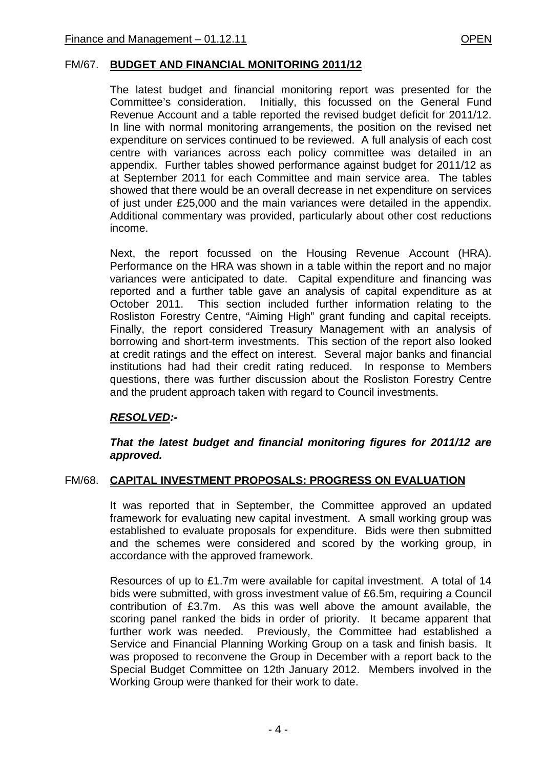### FM/67. **BUDGET AND FINANCIAL MONITORING 2011/12**

The latest budget and financial monitoring report was presented for the Committee's consideration. Initially, this focussed on the General Fund Revenue Account and a table reported the revised budget deficit for 2011/12. In line with normal monitoring arrangements, the position on the revised net expenditure on services continued to be reviewed. A full analysis of each cost centre with variances across each policy committee was detailed in an appendix. Further tables showed performance against budget for 2011/12 as at September 2011 for each Committee and main service area. The tables showed that there would be an overall decrease in net expenditure on services of just under £25,000 and the main variances were detailed in the appendix. Additional commentary was provided, particularly about other cost reductions income.

Next, the report focussed on the Housing Revenue Account (HRA). Performance on the HRA was shown in a table within the report and no major variances were anticipated to date. Capital expenditure and financing was reported and a further table gave an analysis of capital expenditure as at October 2011. This section included further information relating to the Rosliston Forestry Centre, "Aiming High" grant funding and capital receipts. Finally, the report considered Treasury Management with an analysis of borrowing and short-term investments. This section of the report also looked at credit ratings and the effect on interest. Several major banks and financial institutions had had their credit rating reduced. In response to Members questions, there was further discussion about the Rosliston Forestry Centre and the prudent approach taken with regard to Council investments.

# *RESOLVED:-*

### *That the latest budget and financial monitoring figures for 2011/12 are approved.*

### FM/68. **CAPITAL INVESTMENT PROPOSALS: PROGRESS ON EVALUATION**

It was reported that in September, the Committee approved an updated framework for evaluating new capital investment. A small working group was established to evaluate proposals for expenditure. Bids were then submitted and the schemes were considered and scored by the working group, in accordance with the approved framework.

Resources of up to £1.7m were available for capital investment. A total of 14 bids were submitted, with gross investment value of £6.5m, requiring a Council contribution of £3.7m. As this was well above the amount available, the scoring panel ranked the bids in order of priority. It became apparent that further work was needed. Previously, the Committee had established a Service and Financial Planning Working Group on a task and finish basis. It was proposed to reconvene the Group in December with a report back to the Special Budget Committee on 12th January 2012. Members involved in the Working Group were thanked for their work to date.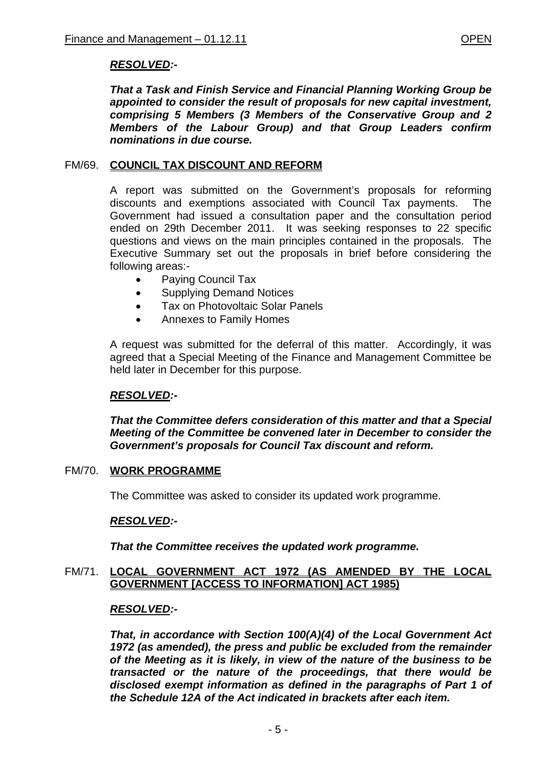# *RESOLVED:-*

*That a Task and Finish Service and Financial Planning Working Group be appointed to consider the result of proposals for new capital investment, comprising 5 Members (3 Members of the Conservative Group and 2 Members of the Labour Group) and that Group Leaders confirm nominations in due course.* 

## FM/69. **COUNCIL TAX DISCOUNT AND REFORM**

A report was submitted on the Government's proposals for reforming discounts and exemptions associated with Council Tax payments. The Government had issued a consultation paper and the consultation period ended on 29th December 2011. It was seeking responses to 22 specific questions and views on the main principles contained in the proposals. The Executive Summary set out the proposals in brief before considering the following areas:-

- Paying Council Tax
- Supplying Demand Notices
- Tax on Photovoltaic Solar Panels
- Annexes to Family Homes

A request was submitted for the deferral of this matter. Accordingly, it was agreed that a Special Meeting of the Finance and Management Committee be held later in December for this purpose.

# *RESOLVED:-*

*That the Committee defers consideration of this matter and that a Special Meeting of the Committee be convened later in December to consider the Government's proposals for Council Tax discount and reform.* 

# FM/70. **WORK PROGRAMME**

The Committee was asked to consider its updated work programme.

# *RESOLVED:-*

*That the Committee receives the updated work programme.* 

## FM/71. **LOCAL GOVERNMENT ACT 1972 (AS AMENDED BY THE LOCAL GOVERNMENT [ACCESS TO INFORMATION] ACT 1985)**

### *RESOLVED:-*

*That, in accordance with Section 100(A)(4) of the Local Government Act 1972 (as amended), the press and public be excluded from the remainder of the Meeting as it is likely, in view of the nature of the business to be transacted or the nature of the proceedings, that there would be disclosed exempt information as defined in the paragraphs of Part 1 of the Schedule 12A of the Act indicated in brackets after each item.*